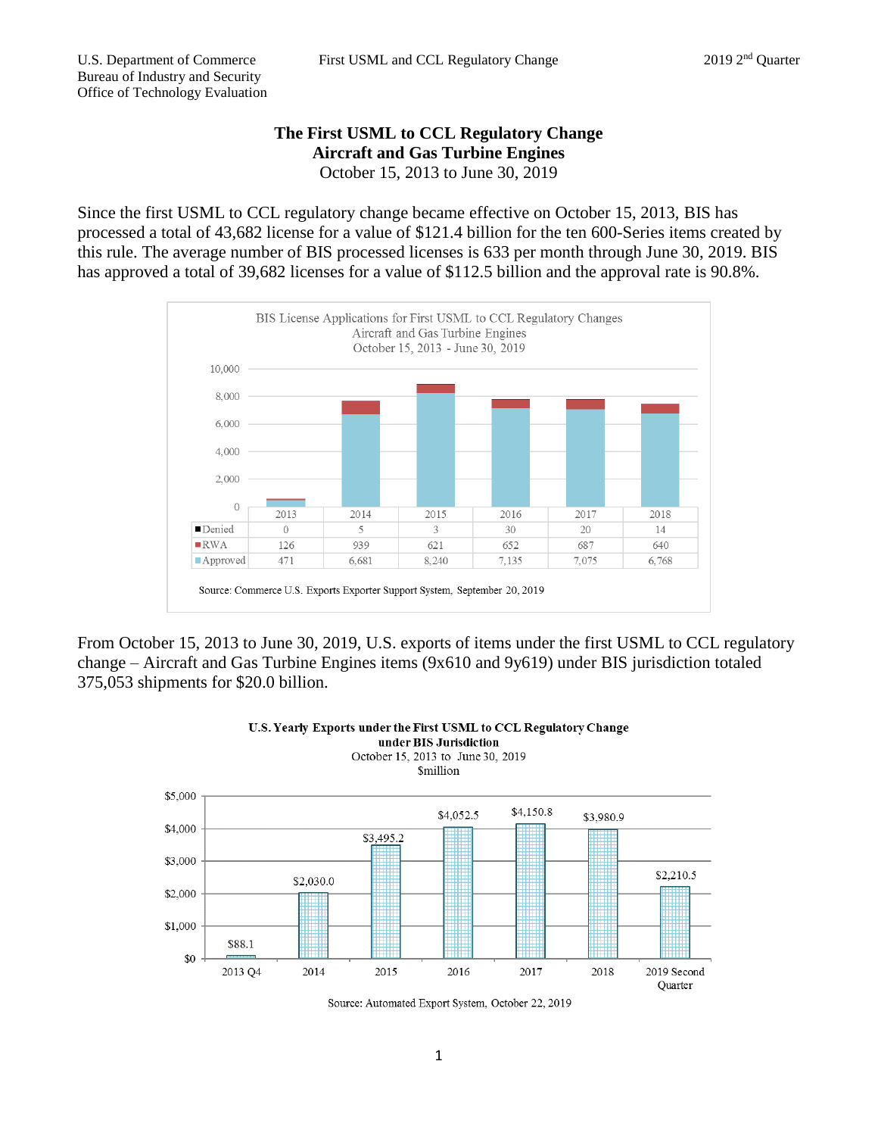## **The First USML to CCL Regulatory Change Aircraft and Gas Turbine Engines** October 15, 2013 to June 30, 2019

Since the first USML to CCL regulatory change became effective on October 15, 2013, BIS has processed a total of 43,682 license for a value of \$121.4 billion for the ten 600-Series items created by this rule. The average number of BIS processed licenses is 633 per month through June 30, 2019. BIS has approved a total of 39,682 licenses for a value of \$112.5 billion and the approval rate is 90.8%.



From October 15, 2013 to June 30, 2019, U.S. exports of items under the first USML to CCL regulatory change – Aircraft and Gas Turbine Engines items (9x610 and 9y619) under BIS jurisdiction totaled 375,053 shipments for \$20.0 billion.

U.S. Yearly Exports under the First USML to CCL Regulatory Change





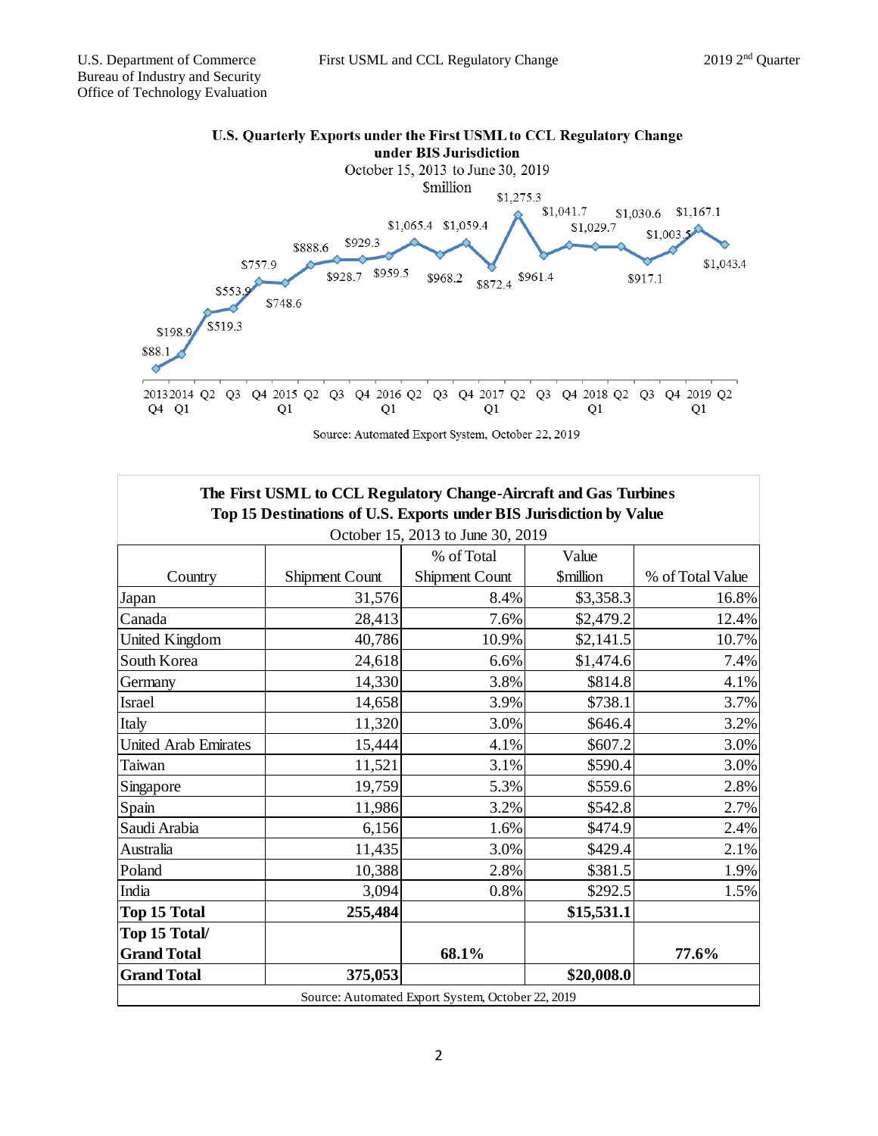

Source: Automated Export System, October 22, 2019

| The First USML to CCL Regulatory Change-Aircraft and Gas Turbines   |                |                       |                         |                  |
|---------------------------------------------------------------------|----------------|-----------------------|-------------------------|------------------|
| Top 15 Destinations of U.S. Exports under BIS Jurisdiction by Value |                |                       |                         |                  |
| October 15, 2013 to June 30, 2019                                   |                |                       |                         |                  |
|                                                                     |                | % of Total            | Value                   |                  |
| Country                                                             | Shipment Count | <b>Shipment Count</b> | <i><b>\$million</b></i> | % of Total Value |
| Japan                                                               | 31,576         | 8.4%                  | \$3,358.3               | 16.8%            |
| Canada                                                              | 28,413         | 7.6%                  | \$2,479.2               | 12.4%            |
| <b>United Kingdom</b>                                               | 40,786         | 10.9%                 | \$2,141.5               | 10.7%            |
| South Korea                                                         | 24,618         | 6.6%                  | \$1,474.6               | 7.4%             |
| Germany                                                             | 14,330         | 3.8%                  | \$814.8                 | 4.1%             |
| <b>Israel</b>                                                       | 14,658         | 3.9%                  | \$738.1                 | 3.7%             |
| Italy                                                               | 11,320         | 3.0%                  | \$646.4                 | 3.2%             |
| <b>United Arab Emirates</b>                                         | 15,444         | 4.1%                  | \$607.2                 | 3.0%             |
| Taiwan                                                              | 11,521         | 3.1%                  | \$590.4                 | 3.0%             |
| Singapore                                                           | 19,759         | 5.3%                  | \$559.6                 | 2.8%             |
| Spain                                                               | 11,986         | 3.2%                  | \$542.8                 | 2.7%             |
| Saudi Arabia                                                        | 6,156          | 1.6%                  | \$474.9                 | 2.4%             |
| Australia                                                           | 11,435         | 3.0%                  | \$429.4                 | 2.1%             |
| Poland                                                              | 10,388         | 2.8%                  | \$381.5                 | 1.9%             |
| India                                                               | 3,094          | 0.8%                  | \$292.5                 | 1.5%             |
| <b>Top 15 Total</b>                                                 | 255,484        |                       | \$15,531.1              |                  |
| Top 15 Total/                                                       |                |                       |                         |                  |
| <b>Grand Total</b>                                                  |                | 68.1%                 |                         | 77.6%            |
| <b>Grand Total</b>                                                  | 375,053        |                       | \$20,008.0              |                  |
| Source: Automated Export System, October 22, 2019                   |                |                       |                         |                  |